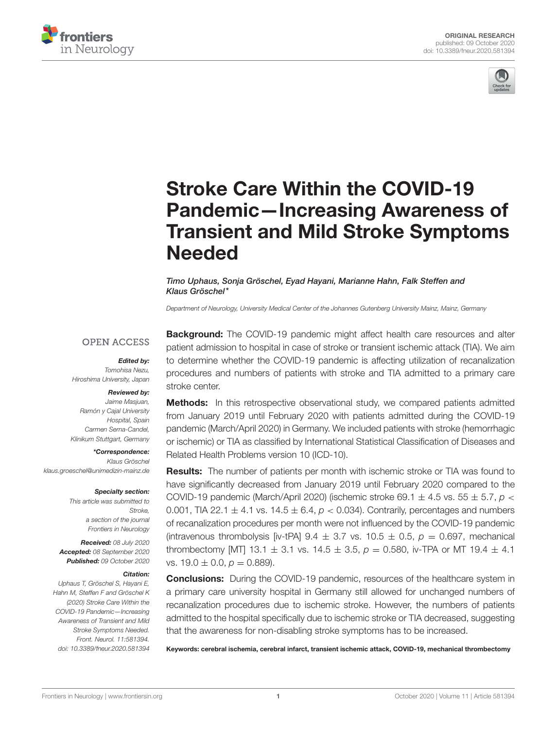



# Stroke Care Within the COVID-19 Pandemic—Increasing Awareness of [Transient and Mild Stroke Symptoms](https://www.frontiersin.org/articles/10.3389/fneur.2020.581394/full) Needed

Timo Uphaus, Sonja Gröschel, Eyad Hayani, Marianne Hahn, Falk Steffen and Klaus Gröschel\*

Department of Neurology, University Medical Center of the Johannes Gutenberg University Mainz, Mainz, Germany

#### **OPEN ACCESS**

# Edited by:

Tomohisa Nezu, Hiroshima University, Japan

#### Reviewed by:

Jaime Masjuan, Ramón y Cajal University Hospital, Spain Carmen Serna-Candel, Klinikum Stuttgart, Germany

#### \*Correspondence: Klaus Gröschel

[klaus.groeschel@unimedizin-mainz.de](mailto:klaus.groeschel@unimedizin-mainz.de)

#### Specialty section:

This article was submitted to Stroke, a section of the journal Frontiers in Neurology

Received: 08 July 2020 Accepted: 08 September 2020 Published: 09 October 2020

#### Citation:

Uphaus T, Gröschel S, Hayani E, Hahn M, Steffen F and Gröschel K (2020) Stroke Care Within the COVID-19 Pandemic—Increasing Awareness of Transient and Mild Stroke Symptoms Needed. Front. Neurol. 11:581394. doi: [10.3389/fneur.2020.581394](https://doi.org/10.3389/fneur.2020.581394) **Background:** The COVID-19 pandemic might affect health care resources and alter patient admission to hospital in case of stroke or transient ischemic attack (TIA). We aim to determine whether the COVID-19 pandemic is affecting utilization of recanalization procedures and numbers of patients with stroke and TIA admitted to a primary care stroke center.

**Methods:** In this retrospective observational study, we compared patients admitted from January 2019 until February 2020 with patients admitted during the COVID-19 pandemic (March/April 2020) in Germany. We included patients with stroke (hemorrhagic or ischemic) or TIA as classified by International Statistical Classification of Diseases and Related Health Problems version 10 (ICD-10).

**Results:** The number of patients per month with ischemic stroke or TIA was found to have significantly decreased from January 2019 until February 2020 compared to the COVID-19 pandemic (March/April 2020) (ischemic stroke 69.1  $\pm$  4.5 vs. 55  $\pm$  5.7, p < 0.001, TIA 22.1  $\pm$  4.1 vs. 14.5  $\pm$  6.4,  $\rho$  < 0.034). Contrarily, percentages and numbers of recanalization procedures per month were not influenced by the COVID-19 pandemic (intravenous thrombolysis [iv-tPA]  $9.4 \pm 3.7$  vs.  $10.5 \pm 0.5$ ,  $p = 0.697$ , mechanical thrombectomy [MT] 13.1  $\pm$  3.1 vs. 14.5  $\pm$  3.5,  $p = 0.580$ , iv-TPA or MT 19.4  $\pm$  4.1 vs.  $19.0 \pm 0.0$ ,  $p = 0.889$ ).

**Conclusions:** During the COVID-19 pandemic, resources of the healthcare system in a primary care university hospital in Germany still allowed for unchanged numbers of recanalization procedures due to ischemic stroke. However, the numbers of patients admitted to the hospital specifically due to ischemic stroke or TIA decreased, suggesting that the awareness for non-disabling stroke symptoms has to be increased.

Keywords: cerebral ischemia, cerebral infarct, transient ischemic attack, COVID-19, mechanical thrombectomy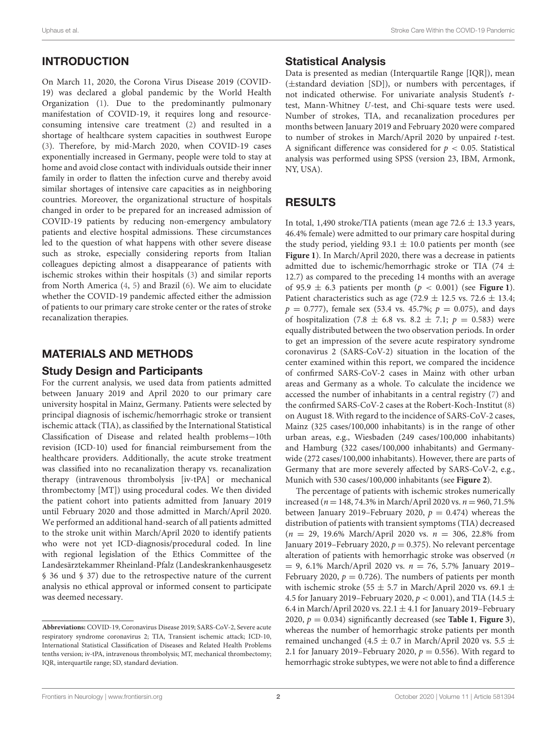# INTRODUCTION

On March 11, 2020, the Corona Virus Disease 2019 (COVID-19) was declared a global pandemic by the World Health Organization [\(1\)](#page-5-0). Due to the predominantly pulmonary manifestation of COVID-19, it requires long and resourceconsuming intensive care treatment [\(2\)](#page-5-1) and resulted in a shortage of healthcare system capacities in southwest Europe [\(3\)](#page-5-2). Therefore, by mid-March 2020, when COVID-19 cases exponentially increased in Germany, people were told to stay at home and avoid close contact with individuals outside their inner family in order to flatten the infection curve and thereby avoid similar shortages of intensive care capacities as in neighboring countries. Moreover, the organizational structure of hospitals changed in order to be prepared for an increased admission of COVID-19 patients by reducing non-emergency ambulatory patients and elective hospital admissions. These circumstances led to the question of what happens with other severe disease such as stroke, especially considering reports from Italian colleagues depicting almost a disappearance of patients with ischemic strokes within their hospitals [\(3\)](#page-5-2) and similar reports from North America [\(4,](#page-5-3) [5\)](#page-5-4) and Brazil [\(6\)](#page-5-5). We aim to elucidate whether the COVID-19 pandemic affected either the admission of patients to our primary care stroke center or the rates of stroke recanalization therapies.

## MATERIALS AND METHODS

#### Study Design and Participants

For the current analysis, we used data from patients admitted between January 2019 and April 2020 to our primary care university hospital in Mainz, Germany. Patients were selected by principal diagnosis of ischemic/hemorrhagic stroke or transient ischemic attack (TIA), as classified by the International Statistical Classification of Disease and related health problems−10th revision (ICD-10) used for financial reimbursement from the healthcare providers. Additionally, the acute stroke treatment was classified into no recanalization therapy vs. recanalization therapy (intravenous thrombolysis [iv-tPA] or mechanical thrombectomy [MT]) using procedural codes. We then divided the patient cohort into patients admitted from January 2019 until February 2020 and those admitted in March/April 2020. We performed an additional hand-search of all patients admitted to the stroke unit within March/April 2020 to identify patients who were not yet ICD-diagnosis/procedural coded. In line with regional legislation of the Ethics Committee of the Landesärztekammer Rheinland-Pfalz (Landeskrankenhausgesetz § 36 und § 37) due to the retrospective nature of the current analysis no ethical approval or informed consent to participate was deemed necessary.

### Statistical Analysis

Data is presented as median (Interquartile Range [IQR]), mean (±standard deviation [SD]), or numbers with percentages, if not indicated otherwise. For univariate analysis Student's ttest, Mann-Whitney U-test, and Chi-square tests were used. Number of strokes, TIA, and recanalization procedures per months between January 2019 and February 2020 were compared to number of strokes in March/April 2020 by unpaired t-test. A significant difference was considered for  $p < 0.05$ . Statistical analysis was performed using SPSS (version 23, IBM, Armonk, NY, USA).

## RESULTS

In total, 1,490 stroke/TIA patients (mean age  $72.6 \pm 13.3$  years, 46.4% female) were admitted to our primary care hospital during the study period, yielding  $93.1 \pm 10.0$  patients per month (see **[Figure 1](#page-2-0)**). In March/April 2020, there was a decrease in patients admitted due to ischemic/hemorrhagic stroke or TIA (74  $\pm$ 12.7) as compared to the preceding 14 months with an average of 95.9  $\pm$  6.3 patients per month ( $p < 0.001$ ) (see **[Figure 1](#page-2-0)**). Patient characteristics such as age (72.9  $\pm$  12.5 vs. 72.6  $\pm$  13.4;  $p = 0.777$ ), female sex (53.4 vs. 45.7%;  $p = 0.075$ ), and days of hospitalization (7.8  $\pm$  6.8 vs. 8.2  $\pm$  7.1;  $p = 0.583$ ) were equally distributed between the two observation periods. In order to get an impression of the severe acute respiratory syndrome coronavirus 2 (SARS-CoV-2) situation in the location of the center examined within this report, we compared the incidence of confirmed SARS-CoV-2 cases in Mainz with other urban areas and Germany as a whole. To calculate the incidence we accessed the number of inhabitants in a central registry [\(7\)](#page-5-6) and the confirmed SARS-CoV-2 cases at the Robert-Koch-Institut [\(8\)](#page-5-7) on August 18. With regard to the incidence of SARS-CoV-2 cases, Mainz (325 cases/100,000 inhabitants) is in the range of other urban areas, e.g., Wiesbaden (249 cases/100,000 inhabitants) and Hamburg (322 cases/100,000 inhabitants) and Germanywide (272 cases/100,000 inhabitants). However, there are parts of Germany that are more severely affected by SARS-CoV-2, e.g., Munich with 530 cases/100,000 inhabitants (see **[Figure 2](#page-2-1)**).

The percentage of patients with ischemic strokes numerically increased ( $n = 148, 74.3\%$  in March/April 2020 vs.  $n = 960, 71.5\%$ between January 2019–February 2020,  $p = 0.474$ ) whereas the distribution of patients with transient symptoms (TIA) decreased  $(n = 29, 19.6\% \text{ March/April } 2020 \text{ vs. } n = 306, 22.8\% \text{ from } n$ January 2019–February 2020,  $p = 0.375$ ). No relevant percentage alteration of patients with hemorrhagic stroke was observed (n  $= 9, 6.1\%$  March/April 2020 vs.  $n = 76, 5.7\%$  January 2019– February 2020,  $p = 0.726$ ). The numbers of patients per month with ischemic stroke (55  $\pm$  5.7 in March/April 2020 vs. 69.1  $\pm$ 4.5 for January 2019–February 2020,  $p < 0.001$ ), and TIA (14.5  $\pm$ 6.4 in March/April 2020 vs. 22.1  $\pm$  4.1 for January 2019–February 2020,  $p = 0.034$ ) significantly decreased (see **[Table 1](#page-2-2)**, **[Figure 3](#page-3-0)**), whereas the number of hemorrhagic stroke patients per month remained unchanged (4.5  $\pm$  0.7 in March/April 2020 vs. 5.5  $\pm$ 2.1 for January 2019–February 2020,  $p = 0.556$ ). With regard to hemorrhagic stroke subtypes, we were not able to find a difference

**Abbreviations:** COVID-19, Coronavirus Disease 2019; SARS-CoV-2, Severe acute respiratory syndrome coronavirus 2; TIA, Transient ischemic attack; ICD-10, International Statistical Classification of Diseases and Related Health Problems tenths version; iv-tPA, intravenous thrombolysis; MT, mechanical thrombectomy; IQR, interquartile range; SD, standard deviation.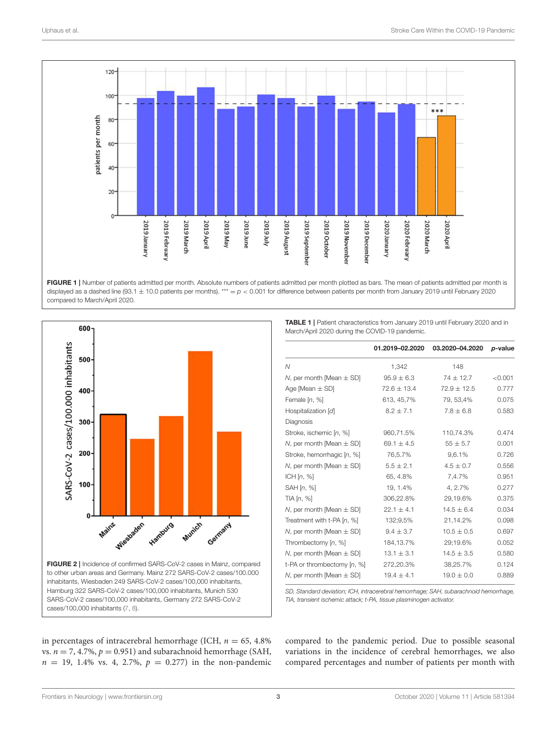

<span id="page-2-0"></span>



<span id="page-2-1"></span>in percentages of intracerebral hemorrhage (ICH,  $n = 65, 4.8\%$ ) vs.  $n = 7, 4.7\%$ ,  $p = 0.951$ ) and subarachnoid hemorrhage (SAH,  $n = 19, 1.4\%$  vs. 4, 2.7%,  $p = 0.277$  in the non-pandemic

<span id="page-2-2"></span>TABLE 1 | Patient characteristics from January 2019 until February 2020 and in March/April 2020 during the COVID-19 pandemic.

|                              | 01.2019-02.2020 | 03.2020-04.2020 | p-value |
|------------------------------|-----------------|-----------------|---------|
| N                            | 1,342           | 148             |         |
| N, per month [Mean $\pm$ SD] | $95.9 \pm 6.3$  | $74 \pm 12.7$   | < 0.001 |
| Age [Mean $\pm$ SD]          | $72.6 \pm 13.4$ | $72.9 \pm 12.5$ | 0.777   |
| Female $[n, %]$              | 613, 45, 7%     | 79, 53, 4%      | 0.075   |
| Hospitalization [d]          | $8.2 \pm 7.1$   | $7.8 \pm 6.8$   | 0.583   |
| Diagnosis                    |                 |                 |         |
| Stroke, ischemic [n, %]      | 960,71.5%       | 110,74.3%       | 0.474   |
| N, per month [Mean $\pm$ SD] | 69.1 $\pm$ 4.5  | $55 \pm 5.7$    | 0.001   |
| Stroke, hemorrhagic [n, %]   | 76,5.7%         | 9.6.1%          | 0.726   |
| N, per month [Mean $\pm$ SD] | $5.5 \pm 2.1$   | $4.5 \pm 0.7$   | 0.556   |
| ICH[n, %]                    | 65, 4.8%        | 7,4.7%          | 0.951   |
| SAH $[n, \%]$                | 19, 1.4%        | 4, 2.7%         | 0.277   |
| TIA[n, %]                    | 306,22.8%       | 29,19.6%        | 0.375   |
| N, per month [Mean $\pm$ SD] | $22.1 \pm 4.1$  | $14.5 \pm 6.4$  | 0.034   |
| Treatment with t-PA [n, %]   | 132;9,5%        | 21,14.2%        | 0.098   |
| N, per month [Mean $\pm$ SD] | $9.4 \pm 3.7$   | $10.5 \pm 0.5$  | 0.697   |
| Thrombectomy [n, %]          | 184, 13.7%      | 29;19.6%        | 0.052   |
| N, per month [Mean $\pm$ SD] | $13.1 \pm 3.1$  | $14.5 \pm 3.5$  | 0.580   |
| t-PA or thrombectomy [n, %]  | 272,20.3%       | 38,25.7%        | 0.124   |
| N, per month [Mean $\pm$ SD] | $19.4 \pm 4.1$  | $19.0 \pm 0.0$  | 0.889   |

SD, Standard deviation; ICH, intracerebral hemorrhage; SAH, subarachnoid hemorrhage, TIA, transient ischemic attack; t-PA, tissue plasminogen activator.

compared to the pandemic period. Due to possible seasonal variations in the incidence of cerebral hemorrhages, we also compared percentages and number of patients per month with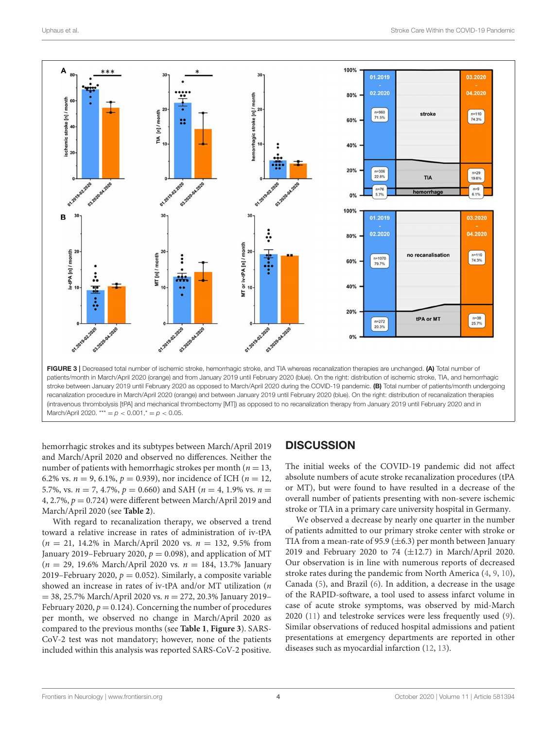

<span id="page-3-0"></span>stroke between January 2019 until February 2020 as opposed to March/April 2020 during the COVID-19 pandemic. (B) Total number of patients/month undergoing recanalization procedure in March/April 2020 (orange) and between January 2019 until February 2020 (blue). On the right: distribution of recanalization therapies (intravenous thrombolysis [tPA] and mechanical thrombectomy [MT]) as opposed to no recanalization therapy from January 2019 until February 2020 and in March/April 2020. \*\*\*  $= p < 0.001$ , \*  $= p < 0.05$ 

hemorrhagic strokes and its subtypes between March/April 2019 and March/April 2020 and observed no differences. Neither the number of patients with hemorrhagic strokes per month ( $n = 13$ , 6.2% vs.  $n = 9, 6.1\%, p = 0.939$ , nor incidence of ICH ( $n = 12$ , 5.7%, vs.  $n = 7, 4.7$ %,  $p = 0.660$ ) and SAH ( $n = 4, 1.9$ % vs.  $n =$ 4, 2.7%,  $p = 0.724$ ) were different between March/April 2019 and March/April 2020 (see **[Table 2](#page-4-0)**).

With regard to recanalization therapy, we observed a trend toward a relative increase in rates of administration of iv-tPA  $(n = 21, 14.2\%$  in March/April 2020 vs.  $n = 132, 9.5\%$  from January 2019–February 2020,  $p = 0.098$ ), and application of MT  $(n = 29, 19.6\% \text{ March/April } 2020 \text{ vs. } n = 184, 13.7\% \text{ January}$ 2019–February 2020,  $p = 0.052$ ). Similarly, a composite variable showed an increase in rates of iv-tPA and/or MT utilization (n  $= 38, 25.7\%$  March/April 2020 vs.  $n = 272, 20.3\%$  January 2019– February 2020,  $p = 0.124$ ). Concerning the number of procedures per month, we observed no change in March/April 2020 as compared to the previous months (see **[Table 1](#page-2-2)**, **[Figure 3](#page-3-0)**). SARS-CoV-2 test was not mandatory; however, none of the patients included within this analysis was reported SARS-CoV-2 positive.

## **DISCUSSION**

The initial weeks of the COVID-19 pandemic did not affect absolute numbers of acute stroke recanalization procedures (tPA or MT), but were found to have resulted in a decrease of the overall number of patients presenting with non-severe ischemic stroke or TIA in a primary care university hospital in Germany.

We observed a decrease by nearly one quarter in the number of patients admitted to our primary stroke center with stroke or TIA from a mean-rate of 95.9 ( $\pm$ 6.3) per month between January 2019 and February 2020 to 74 (±12.7) in March/April 2020. Our observation is in line with numerous reports of decreased stroke rates during the pandemic from North America [\(4,](#page-5-3) [9,](#page-5-8) [10\)](#page-5-9), Canada [\(5\)](#page-5-4), and Brazil [\(6\)](#page-5-5). In addition, a decrease in the usage of the RAPID-software, a tool used to assess infarct volume in case of acute stroke symptoms, was observed by mid-March 2020 [\(11\)](#page-5-10) and telestroke services were less frequently used [\(9\)](#page-5-8). Similar observations of reduced hospital admissions and patient presentations at emergency departments are reported in other diseases such as myocardial infarction [\(12,](#page-5-11) [13\)](#page-5-12).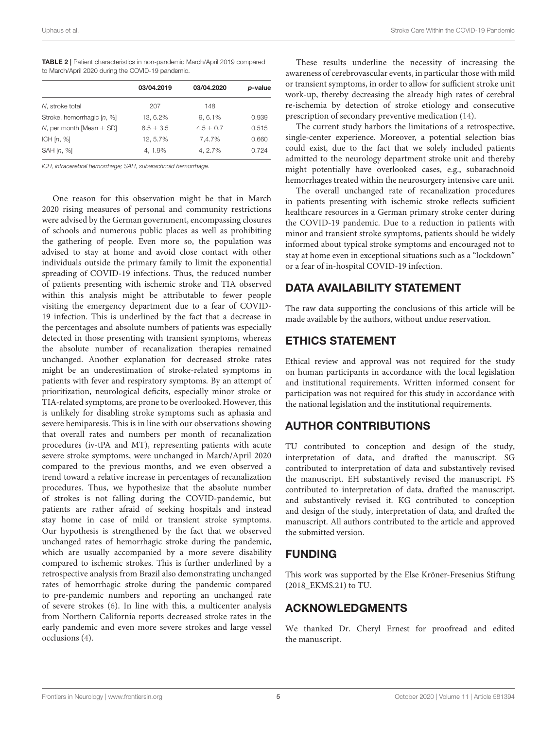|                              | 03/04.2019  | 03/04.2020  | p-value |
|------------------------------|-------------|-------------|---------|
| N, stroke total              | 207         | 148         |         |
| Stroke, hemorrhagic [n, %]   | 13, 6.2%    | 9.6.1%      | 0.939   |
| N, per month [Mean $\pm$ SD] | $6.5 + 3.5$ | $4.5 + 0.7$ | 0.515   |
| ICH[n, %]                    | 12.5.7%     | 7.4.7%      | 0.660   |
| SAH[n, %]                    | 4, 1.9%     | 4, 2.7%     | 0.724   |

<span id="page-4-0"></span>TABLE 2 | Patient characteristics in non-pandemic March/April 2019 compared to March/April 2020 during the COVID-19 pandemic.

ICH, intracerebral hemorrhage; SAH, subarachnoid hemorrhage.

One reason for this observation might be that in March 2020 rising measures of personal and community restrictions were advised by the German government, encompassing closures of schools and numerous public places as well as prohibiting the gathering of people. Even more so, the population was advised to stay at home and avoid close contact with other individuals outside the primary family to limit the exponential spreading of COVID-19 infections. Thus, the reduced number of patients presenting with ischemic stroke and TIA observed within this analysis might be attributable to fewer people visiting the emergency department due to a fear of COVID-19 infection. This is underlined by the fact that a decrease in the percentages and absolute numbers of patients was especially detected in those presenting with transient symptoms, whereas the absolute number of recanalization therapies remained unchanged. Another explanation for decreased stroke rates might be an underestimation of stroke-related symptoms in patients with fever and respiratory symptoms. By an attempt of prioritization, neurological deficits, especially minor stroke or TIA-related symptoms, are prone to be overlooked. However, this is unlikely for disabling stroke symptoms such as aphasia and severe hemiparesis. This is in line with our observations showing that overall rates and numbers per month of recanalization procedures (iv-tPA and MT), representing patients with acute severe stroke symptoms, were unchanged in March/April 2020 compared to the previous months, and we even observed a trend toward a relative increase in percentages of recanalization procedures. Thus, we hypothesize that the absolute number of strokes is not falling during the COVID-pandemic, but patients are rather afraid of seeking hospitals and instead stay home in case of mild or transient stroke symptoms. Our hypothesis is strengthened by the fact that we observed unchanged rates of hemorrhagic stroke during the pandemic, which are usually accompanied by a more severe disability compared to ischemic strokes. This is further underlined by a retrospective analysis from Brazil also demonstrating unchanged rates of hemorrhagic stroke during the pandemic compared to pre-pandemic numbers and reporting an unchanged rate of severe strokes [\(6\)](#page-5-5). In line with this, a multicenter analysis from Northern California reports decreased stroke rates in the early pandemic and even more severe strokes and large vessel occlusions [\(4\)](#page-5-3).

These results underline the necessity of increasing the awareness of cerebrovascular events, in particular those with mild or transient symptoms, in order to allow for sufficient stroke unit work-up, thereby decreasing the already high rates of cerebral re-ischemia by detection of stroke etiology and consecutive prescription of secondary preventive medication [\(14\)](#page-5-13).

The current study harbors the limitations of a retrospective, single-center experience. Moreover, a potential selection bias could exist, due to the fact that we solely included patients admitted to the neurology department stroke unit and thereby might potentially have overlooked cases, e.g., subarachnoid hemorrhages treated within the neurosurgery intensive care unit.

The overall unchanged rate of recanalization procedures in patients presenting with ischemic stroke reflects sufficient healthcare resources in a German primary stroke center during the COVID-19 pandemic. Due to a reduction in patients with minor and transient stroke symptoms, patients should be widely informed about typical stroke symptoms and encouraged not to stay at home even in exceptional situations such as a "lockdown" or a fear of in-hospital COVID-19 infection.

# DATA AVAILABILITY STATEMENT

The raw data supporting the conclusions of this article will be made available by the authors, without undue reservation.

# ETHICS STATEMENT

Ethical review and approval was not required for the study on human participants in accordance with the local legislation and institutional requirements. Written informed consent for participation was not required for this study in accordance with the national legislation and the institutional requirements.

# AUTHOR CONTRIBUTIONS

TU contributed to conception and design of the study, interpretation of data, and drafted the manuscript. SG contributed to interpretation of data and substantively revised the manuscript. EH substantively revised the manuscript. FS contributed to interpretation of data, drafted the manuscript, and substantively revised it. KG contributed to conception and design of the study, interpretation of data, and drafted the manuscript. All authors contributed to the article and approved the submitted version.

# FUNDING

This work was supported by the Else Kröner-Fresenius Stiftung (2018\_EKMS.21) to TU.

# ACKNOWLEDGMENTS

We thanked Dr. Cheryl Ernest for proofread and edited the manuscript.